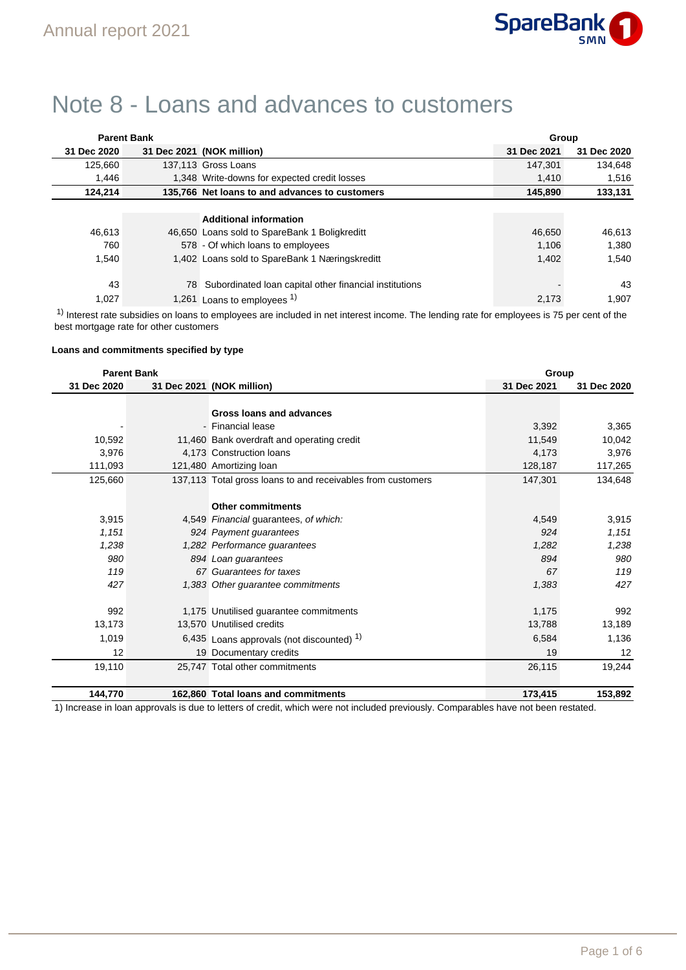

# Note 8 - Loans and advances to customers

|             | <b>Parent Bank</b> |                                                        | Group       |             |
|-------------|--------------------|--------------------------------------------------------|-------------|-------------|
| 31 Dec 2020 |                    | 31 Dec 2021 (NOK million)                              | 31 Dec 2021 | 31 Dec 2020 |
| 125.660     |                    | 137,113 Gross Loans                                    | 147.301     | 134.648     |
| 1.446       |                    | 1,348 Write-downs for expected credit losses           | 1.410       | 1,516       |
| 124,214     |                    | 135,766 Net loans to and advances to customers         | 145,890     | 133,131     |
|             |                    |                                                        |             |             |
|             |                    | <b>Additional information</b>                          |             |             |
| 46.613      |                    | 46,650 Loans sold to SpareBank 1 Boligkreditt          | 46,650      | 46,613      |
| 760         |                    | 578 - Of which loans to employees                      | 1.106       | 1.380       |
| 1,540       |                    | 1,402 Loans sold to SpareBank 1 Næringskreditt         | 1,402       | 1.540       |
|             |                    |                                                        |             |             |
| 43          | 78                 | Subordinated Ioan capital other financial institutions |             | 43          |
| 1,027       |                    | 1,261 Loans to employees <sup>1)</sup>                 | 2,173       | 1,907       |

<sup>1)</sup> Interest rate subsidies on loans to employees are included in net interest income. The lending rate for employees is 75 per cent of the best mortgage rate for other customers

# **Loans and commitments specified by type**

|             | <b>Parent Bank</b> |                                                             | Group       |             |
|-------------|--------------------|-------------------------------------------------------------|-------------|-------------|
| 31 Dec 2020 |                    | 31 Dec 2021 (NOK million)                                   | 31 Dec 2021 | 31 Dec 2020 |
|             |                    |                                                             |             |             |
|             |                    | Gross loans and advances                                    |             |             |
|             |                    | - Financial lease                                           | 3,392       | 3,365       |
| 10,592      |                    | 11,460 Bank overdraft and operating credit                  | 11,549      | 10,042      |
| 3,976       |                    | 4.173 Construction loans                                    | 4,173       | 3,976       |
| 111,093     |                    | 121,480 Amortizing loan                                     | 128,187     | 117,265     |
| 125,660     |                    | 137,113 Total gross loans to and receivables from customers | 147,301     | 134,648     |
|             |                    |                                                             |             |             |
|             |                    | <b>Other commitments</b>                                    |             |             |
| 3,915       |                    | 4,549 Financial guarantees, of which:                       | 4,549       | 3,915       |
| 1,151       |                    | 924 Payment guarantees                                      | 924         | 1,151       |
| 1,238       |                    | 1,282 Performance guarantees                                | 1,282       | 1,238       |
| 980         |                    | 894 Loan guarantees                                         | 894         | 980         |
| 119         |                    | 67 Guarantees for taxes                                     | 67          | 119         |
| 427         |                    | 1,383 Other guarantee commitments                           | 1,383       | 427         |
|             |                    |                                                             |             |             |
| 992         |                    | 1,175 Unutilised guarantee commitments                      | 1,175       | 992         |
| 13,173      |                    | 13,570 Unutilised credits                                   | 13,788      | 13,189      |
| 1,019       |                    | 6,435 Loans approvals (not discounted) $1$ )                | 6,584       | 1,136       |
| 12          |                    | 19 Documentary credits                                      | 19          | 12          |
| 19,110      |                    | 25,747 Total other commitments                              | 26,115      | 19,244      |
|             |                    |                                                             |             |             |
| 144,770     |                    | 162.860 Total loans and commitments                         | 173,415     | 153,892     |

1) Increase in loan approvals is due to letters of credit, which were not included previously. Comparables have not been restated.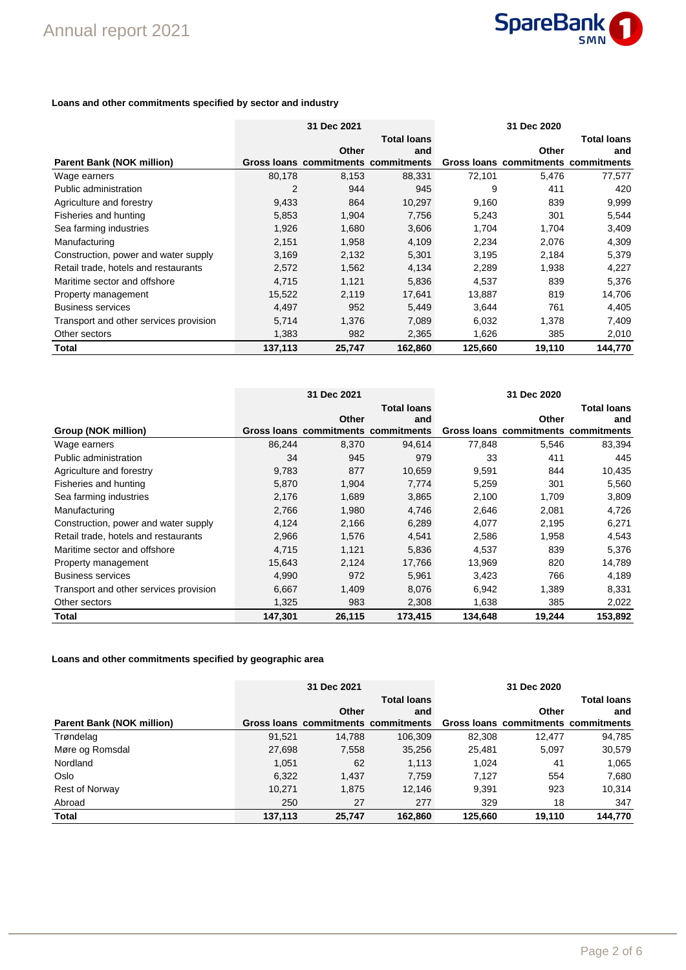

## **Loans and other commitments specified by sector and industry**

|                                        |         | 31 Dec 2021                         |                    |         | 31 Dec 2020                         |                    |
|----------------------------------------|---------|-------------------------------------|--------------------|---------|-------------------------------------|--------------------|
|                                        |         |                                     | <b>Total loans</b> |         |                                     | <b>Total loans</b> |
|                                        |         | Other                               | and                |         | Other                               | and                |
| <b>Parent Bank (NOK million)</b>       |         | Gross loans commitments commitments |                    |         | Gross loans commitments commitments |                    |
| Wage earners                           | 80,178  | 8,153                               | 88,331             | 72,101  | 5,476                               | 77,577             |
| Public administration                  | 2       | 944                                 | 945                | 9       | 411                                 | 420                |
| Agriculture and forestry               | 9,433   | 864                                 | 10,297             | 9,160   | 839                                 | 9,999              |
| Fisheries and hunting                  | 5,853   | 1,904                               | 7,756              | 5,243   | 301                                 | 5,544              |
| Sea farming industries                 | 1,926   | 1,680                               | 3,606              | 1,704   | 1,704                               | 3,409              |
| Manufacturing                          | 2,151   | 1,958                               | 4,109              | 2,234   | 2,076                               | 4,309              |
| Construction, power and water supply   | 3,169   | 2,132                               | 5,301              | 3,195   | 2,184                               | 5,379              |
| Retail trade, hotels and restaurants   | 2,572   | 1,562                               | 4,134              | 2,289   | 1,938                               | 4,227              |
| Maritime sector and offshore           | 4,715   | 1,121                               | 5,836              | 4,537   | 839                                 | 5,376              |
| Property management                    | 15,522  | 2,119                               | 17,641             | 13,887  | 819                                 | 14,706             |
| <b>Business services</b>               | 4,497   | 952                                 | 5,449              | 3,644   | 761                                 | 4,405              |
| Transport and other services provision | 5,714   | 1,376                               | 7,089              | 6,032   | 1,378                               | 7,409              |
| Other sectors                          | 1,383   | 982                                 | 2,365              | 1,626   | 385                                 | 2,010              |
| Total                                  | 137,113 | 25,747                              | 162,860            | 125,660 | 19,110                              | 144,770            |

|                                        |         | 31 Dec 2021                         |                    |         | 31 Dec 2020                         |                    |
|----------------------------------------|---------|-------------------------------------|--------------------|---------|-------------------------------------|--------------------|
|                                        |         |                                     | <b>Total loans</b> |         |                                     | <b>Total loans</b> |
|                                        |         | Other                               | and                |         | Other                               | and                |
| Group (NOK million)                    |         | Gross loans commitments commitments |                    |         | Gross loans commitments commitments |                    |
| Wage earners                           | 86,244  | 8,370                               | 94,614             | 77,848  | 5,546                               | 83,394             |
| Public administration                  | 34      | 945                                 | 979                | 33      | 411                                 | 445                |
| Agriculture and forestry               | 9,783   | 877                                 | 10,659             | 9,591   | 844                                 | 10,435             |
| Fisheries and hunting                  | 5,870   | 1,904                               | 7,774              | 5,259   | 301                                 | 5,560              |
| Sea farming industries                 | 2,176   | 1,689                               | 3,865              | 2,100   | 1,709                               | 3,809              |
| Manufacturing                          | 2,766   | 1,980                               | 4,746              | 2,646   | 2,081                               | 4,726              |
| Construction, power and water supply   | 4,124   | 2,166                               | 6,289              | 4,077   | 2,195                               | 6,271              |
| Retail trade, hotels and restaurants   | 2,966   | 1,576                               | 4,541              | 2,586   | 1,958                               | 4,543              |
| Maritime sector and offshore           | 4,715   | 1,121                               | 5,836              | 4,537   | 839                                 | 5,376              |
| Property management                    | 15,643  | 2,124                               | 17,766             | 13,969  | 820                                 | 14,789             |
| <b>Business services</b>               | 4,990   | 972                                 | 5,961              | 3,423   | 766                                 | 4,189              |
| Transport and other services provision | 6,667   | 1,409                               | 8,076              | 6,942   | 1,389                               | 8,331              |
| Other sectors                          | 1,325   | 983                                 | 2,308              | 1,638   | 385                                 | 2,022              |
| Total                                  | 147,301 | 26,115                              | 173,415            | 134,648 | 19,244                              | 153,892            |

#### **Loans and other commitments specified by geographic area**

|                                  |         | 31 Dec 2021                         |                    |         |                                     |                    |
|----------------------------------|---------|-------------------------------------|--------------------|---------|-------------------------------------|--------------------|
|                                  |         |                                     | <b>Total loans</b> |         |                                     | <b>Total loans</b> |
|                                  |         | Other                               | and                |         | Other                               | and                |
| <b>Parent Bank (NOK million)</b> |         | Gross loans commitments commitments |                    |         | Gross loans commitments commitments |                    |
| Trøndelag                        | 91.521  | 14.788                              | 106.309            | 82.308  | 12.477                              | 94,785             |
| Møre og Romsdal                  | 27,698  | 7,558                               | 35,256             | 25,481  | 5.097                               | 30,579             |
| Nordland                         | 1.051   | 62                                  | 1,113              | 1.024   | 41                                  | 1,065              |
| Oslo                             | 6,322   | 1.437                               | 7,759              | 7.127   | 554                                 | 7,680              |
| <b>Rest of Norway</b>            | 10.271  | 1.875                               | 12.146             | 9,391   | 923                                 | 10,314             |
| Abroad                           | 250     | 27                                  | 277                | 329     | 18                                  | 347                |
| <b>Total</b>                     | 137,113 | 25,747                              | 162.860            | 125.660 | 19.110                              | 144,770            |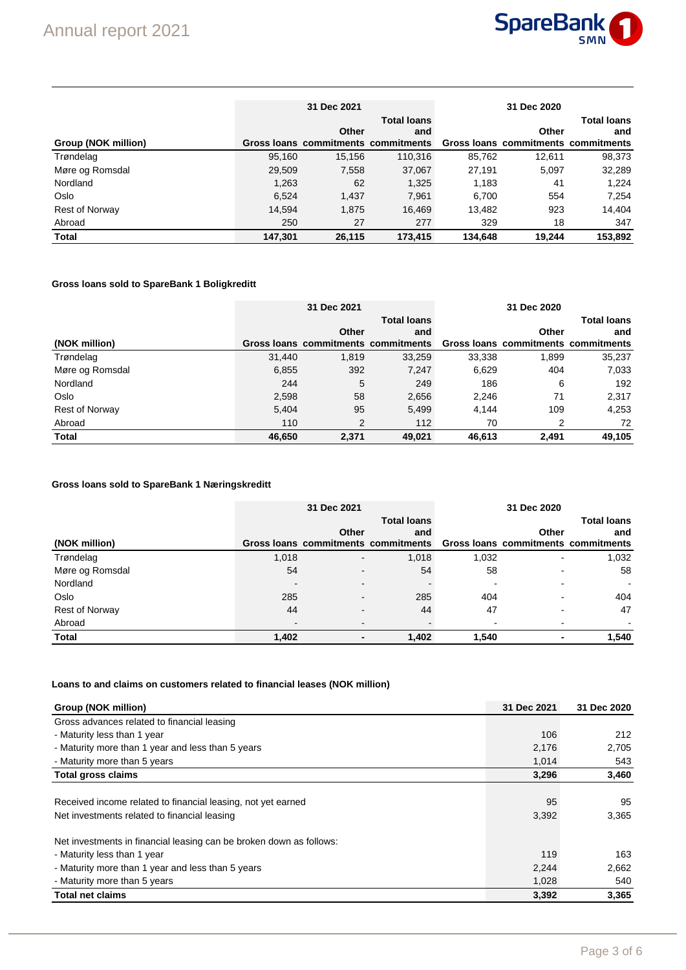

|                       |         | 31 Dec 2021 |                                     |         |                                     |                    |
|-----------------------|---------|-------------|-------------------------------------|---------|-------------------------------------|--------------------|
|                       |         |             | <b>Total loans</b>                  |         |                                     | <b>Total loans</b> |
|                       |         | Other       | and                                 |         | Other                               | and                |
| Group (NOK million)   |         |             | Gross loans commitments commitments |         | Gross loans commitments commitments |                    |
| Trøndelag             | 95,160  | 15.156      | 110.316                             | 85.762  | 12.611                              | 98,373             |
| Møre og Romsdal       | 29.509  | 7,558       | 37,067                              | 27.191  | 5.097                               | 32,289             |
| Nordland              | 1.263   | 62          | 1,325                               | 1,183   | 41                                  | 1.224              |
| Oslo                  | 6.524   | 1,437       | 7,961                               | 6,700   | 554                                 | 7,254              |
| <b>Rest of Norway</b> | 14,594  | 1,875       | 16.469                              | 13,482  | 923                                 | 14.404             |
| Abroad                | 250     | 27          | 277                                 | 329     | 18                                  | 347                |
| <b>Total</b>          | 147.301 | 26.115      | 173.415                             | 134.648 | 19.244                              | 153.892            |

## **Gross loans sold to SpareBank 1 Boligkreditt**

|                       |        | 31 Dec 2021 |                                     |        |                                     |                    |
|-----------------------|--------|-------------|-------------------------------------|--------|-------------------------------------|--------------------|
|                       |        |             | <b>Total loans</b>                  |        |                                     | <b>Total loans</b> |
|                       |        | Other       | and                                 |        | Other                               | and                |
| (NOK million)         |        |             | Gross loans commitments commitments |        | Gross loans commitments commitments |                    |
| Trøndelag             | 31,440 | 1.819       | 33,259                              | 33,338 | 1.899                               | 35,237             |
| Møre og Romsdal       | 6,855  | 392         | 7,247                               | 6,629  | 404                                 | 7,033              |
| Nordland              | 244    | 5           | 249                                 | 186    | 6                                   | 192                |
| Oslo                  | 2,598  | 58          | 2,656                               | 2,246  | 71                                  | 2,317              |
| <b>Rest of Norway</b> | 5,404  | 95          | 5,499                               | 4.144  | 109                                 | 4,253              |
| Abroad                | 110    | 2           | 112                                 | 70     | $\overline{2}$                      | 72                 |
| <b>Total</b>          | 46,650 | 2.371       | 49.021                              | 46,613 | 2.491                               | 49,105             |

## **Gross loans sold to SpareBank 1 Næringskreditt**

|                 |                          | 31 Dec 2021    |                                                                         |       |                          |        |  |
|-----------------|--------------------------|----------------|-------------------------------------------------------------------------|-------|--------------------------|--------|--|
|                 |                          |                | <b>Total loans</b>                                                      |       | <b>Total loans</b>       |        |  |
|                 |                          | Other          | and                                                                     |       | Other                    | and    |  |
| (NOK million)   |                          |                | Gross loans commitments commitments Gross loans commitments commitments |       |                          |        |  |
| Trøndelag       | 1.018                    | $\blacksquare$ | 1,018                                                                   | 1.032 | -                        | 1,032  |  |
| Møre og Romsdal | 54                       |                | 54                                                                      | 58    |                          | 58     |  |
| Nordland        | $\overline{\phantom{0}}$ |                |                                                                         |       |                          | $\sim$ |  |
| Oslo            | 285                      |                | 285                                                                     | 404   |                          | 404    |  |
| Rest of Norway  | 44                       |                | 44                                                                      | 47    | $\overline{\phantom{a}}$ | 47     |  |
| Abroad          | $\overline{\phantom{0}}$ |                |                                                                         |       |                          |        |  |
| <b>Total</b>    | 1,402                    | ٠              | 1,402                                                                   | 1,540 | $\blacksquare$           | 1,540  |  |

## **Loans to and claims on customers related to financial leases (NOK million)**

| Group (NOK million)                                                 | 31 Dec 2021 | 31 Dec 2020 |
|---------------------------------------------------------------------|-------------|-------------|
| Gross advances related to financial leasing                         |             |             |
| - Maturity less than 1 year                                         | 106         | 212         |
| - Maturity more than 1 year and less than 5 years                   | 2,176       | 2,705       |
| - Maturity more than 5 years                                        | 1,014       | 543         |
| <b>Total gross claims</b>                                           | 3,296       | 3,460       |
|                                                                     |             |             |
| Received income related to financial leasing, not yet earned        | 95          | 95          |
| Net investments related to financial leasing                        | 3,392       | 3,365       |
| Net investments in financial leasing can be broken down as follows: |             |             |
| - Maturity less than 1 year                                         | 119         | 163         |
| - Maturity more than 1 year and less than 5 years                   | 2,244       | 2,662       |
| - Maturity more than 5 years                                        | 1,028       | 540         |
| <b>Total net claims</b>                                             | 3,392       | 3,365       |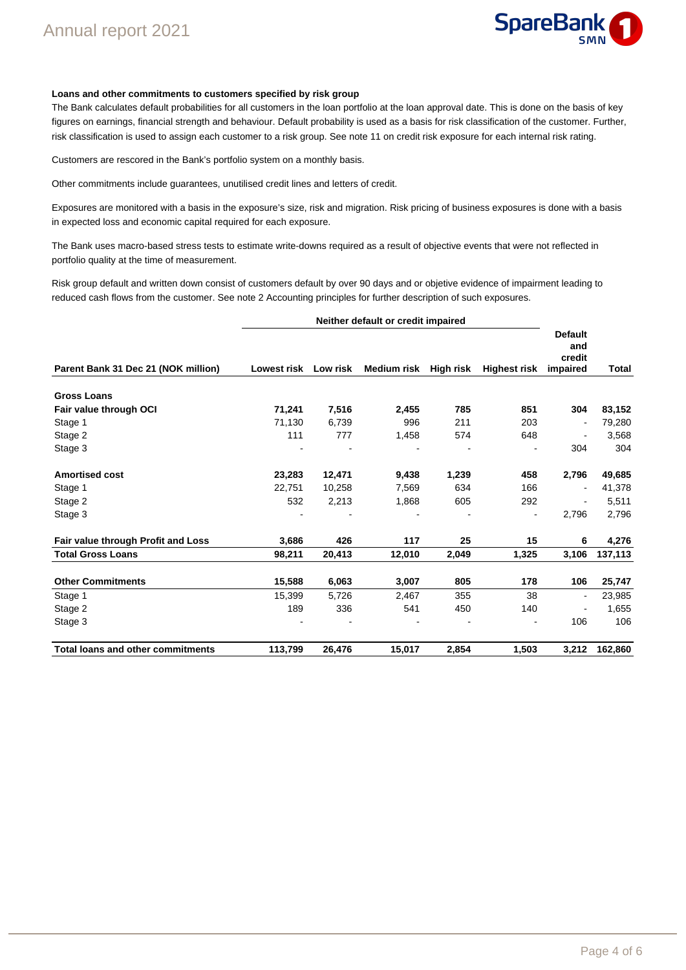

#### **Loans and other commitments to customers specified by risk group**

The Bank calculates default probabilities for all customers in the loan portfolio at the loan approval date. This is done on the basis of key figures on earnings, financial strength and behaviour. Default probability is used as a basis for risk classification of the customer. Further, risk classification is used to assign each customer to a risk group. See note 11 on credit risk exposure for each internal risk rating.

Customers are rescored in the Bank's portfolio system on a monthly basis.

Other commitments include guarantees, unutilised credit lines and letters of credit.

Exposures are monitored with a basis in the exposure's size, risk and migration. Risk pricing of business exposures is done with a basis in expected loss and economic capital required for each exposure.

The Bank uses macro-based stress tests to estimate write-downs required as a result of objective events that were not reflected in portfolio quality at the time of measurement.

Risk group default and written down consist of customers default by over 90 days and or objetive evidence of impairment leading to reduced cash flows from the customer. See note 2 Accounting principles for further description of such exposures.

|                                          | Neither default or credit impaired |        |                       |       |                          |                                             |         |
|------------------------------------------|------------------------------------|--------|-----------------------|-------|--------------------------|---------------------------------------------|---------|
| Parent Bank 31 Dec 21 (NOK million)      | Lowest risk Low risk               |        | Medium risk High risk |       | <b>Highest risk</b>      | <b>Default</b><br>and<br>credit<br>impaired | Total   |
| <b>Gross Loans</b>                       |                                    |        |                       |       |                          |                                             |         |
| Fair value through OCI                   | 71,241                             | 7,516  | 2,455                 | 785   | 851                      | 304                                         | 83,152  |
| Stage 1                                  | 71,130                             | 6,739  | 996                   | 211   | 203                      | $\blacksquare$                              | 79,280  |
| Stage 2                                  | 111                                | 777    | 1,458                 | 574   | 648                      |                                             | 3,568   |
| Stage 3                                  |                                    |        |                       |       |                          | 304                                         | 304     |
| <b>Amortised cost</b>                    | 23,283                             | 12,471 | 9,438                 | 1,239 | 458                      | 2,796                                       | 49,685  |
| Stage 1                                  | 22,751                             | 10,258 | 7,569                 | 634   | 166                      | $\blacksquare$                              | 41,378  |
| Stage 2                                  | 532                                | 2,213  | 1,868                 | 605   | 292                      | $\blacksquare$                              | 5,511   |
| Stage 3                                  |                                    |        |                       |       | $\overline{\phantom{a}}$ | 2,796                                       | 2,796   |
| Fair value through Profit and Loss       | 3,686                              | 426    | 117                   | 25    | 15                       | 6                                           | 4,276   |
| <b>Total Gross Loans</b>                 | 98,211                             | 20,413 | 12,010                | 2,049 | 1,325                    | 3,106                                       | 137,113 |
| <b>Other Commitments</b>                 | 15,588                             | 6,063  | 3,007                 | 805   | 178                      | 106                                         | 25,747  |
| Stage 1                                  | 15,399                             | 5,726  | 2,467                 | 355   | 38                       | $\blacksquare$                              | 23,985  |
| Stage 2                                  | 189                                | 336    | 541                   | 450   | 140                      |                                             | 1,655   |
| Stage 3                                  |                                    |        |                       |       |                          | 106                                         | 106     |
| <b>Total loans and other commitments</b> | 113,799                            | 26,476 | 15,017                | 2,854 | 1,503                    | 3,212                                       | 162,860 |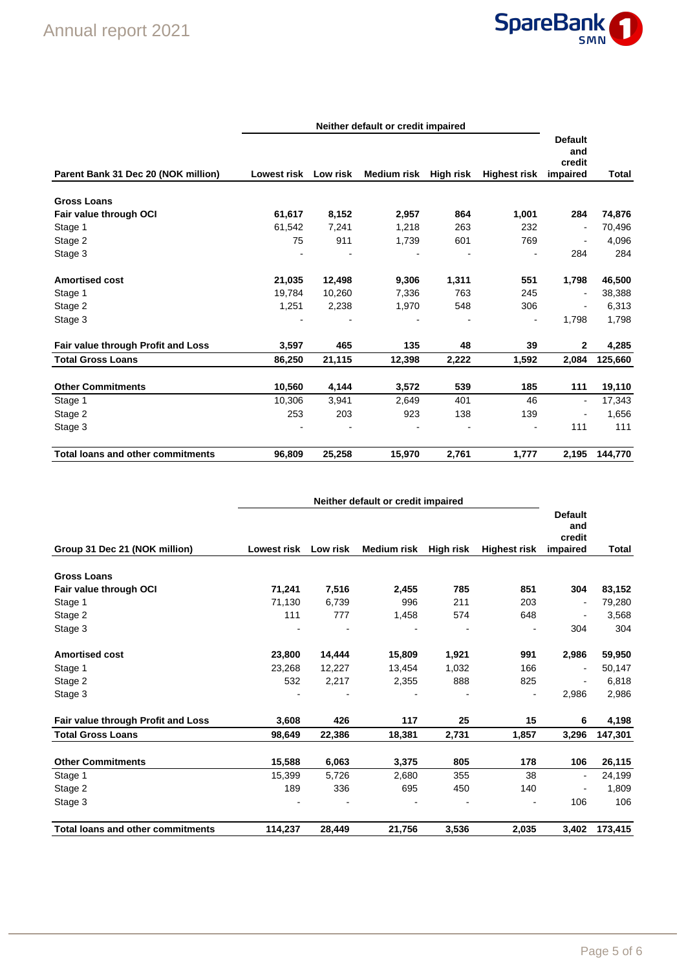

|                                          |                      |        | Neither default or credit impaired |       |                              |                                             |         |
|------------------------------------------|----------------------|--------|------------------------------------|-------|------------------------------|---------------------------------------------|---------|
| Parent Bank 31 Dec 20 (NOK million)      | Lowest risk Low risk |        | Medium risk High risk              |       | <b>Highest risk</b>          | <b>Default</b><br>and<br>credit<br>impaired | Total   |
| <b>Gross Loans</b>                       |                      |        |                                    |       |                              |                                             |         |
| Fair value through OCI                   | 61,617               | 8,152  | 2,957                              | 864   | 1,001                        | 284                                         | 74,876  |
| Stage 1                                  | 61,542               | 7,241  | 1,218                              | 263   | 232                          | $\blacksquare$                              | 70,496  |
| Stage 2                                  | 75                   | 911    | 1,739                              | 601   | 769                          | $\blacksquare$                              | 4,096   |
| Stage 3                                  |                      |        |                                    |       | $\overline{a}$               | 284                                         | 284     |
| <b>Amortised cost</b>                    | 21,035               | 12,498 | 9,306                              | 1,311 | 551                          | 1,798                                       | 46,500  |
| Stage 1                                  | 19.784               | 10,260 | 7,336                              | 763   | 245                          | $\blacksquare$                              | 38,388  |
| Stage 2                                  | 1,251                | 2,238  | 1,970                              | 548   | 306                          | $\overline{\phantom{a}}$                    | 6,313   |
| Stage 3                                  |                      |        |                                    |       | $\qquad \qquad \blacksquare$ | 1,798                                       | 1,798   |
| Fair value through Profit and Loss       | 3,597                | 465    | 135                                | 48    | 39                           | $\mathbf{2}$                                | 4,285   |
| <b>Total Gross Loans</b>                 | 86,250               | 21,115 | 12,398                             | 2,222 | 1,592                        | 2,084                                       | 125,660 |
| <b>Other Commitments</b>                 | 10,560               | 4,144  | 3,572                              | 539   | 185                          | 111                                         | 19,110  |
| Stage 1                                  | 10,306               | 3,941  | 2,649                              | 401   | 46                           | $\overline{\phantom{a}}$                    | 17,343  |
| Stage 2                                  | 253                  | 203    | 923                                | 138   | 139                          | $\overline{\phantom{a}}$                    | 1,656   |
| Stage 3                                  |                      |        |                                    |       | $\blacksquare$               | 111                                         | 111     |
| <b>Total loans and other commitments</b> | 96,809               | 25,258 | 15,970                             | 2,761 | 1,777                        | 2,195                                       | 144,770 |

|                                          | Neither default or credit impaired |          |                    |           |                     |                                             |              |
|------------------------------------------|------------------------------------|----------|--------------------|-----------|---------------------|---------------------------------------------|--------------|
| Group 31 Dec 21 (NOK million)            | <b>Lowest risk</b>                 | Low risk | <b>Medium risk</b> | High risk | <b>Highest risk</b> | <b>Default</b><br>and<br>credit<br>impaired | <b>Total</b> |
| <b>Gross Loans</b>                       |                                    |          |                    |           |                     |                                             |              |
| Fair value through OCI                   | 71,241                             | 7,516    | 2,455              | 785       | 851                 | 304                                         | 83,152       |
| Stage 1                                  | 71,130                             | 6,739    | 996                | 211       | 203                 | $\blacksquare$                              | 79,280       |
| Stage 2                                  | 111                                | 777      | 1,458              | 574       | 648                 | $\overline{\phantom{a}}$                    | 3,568        |
| Stage 3                                  |                                    |          |                    |           |                     | 304                                         | 304          |
| <b>Amortised cost</b>                    | 23,800                             | 14,444   | 15,809             | 1,921     | 991                 | 2,986                                       | 59,950       |
| Stage 1                                  | 23,268                             | 12,227   | 13,454             | 1,032     | 166                 | $\blacksquare$                              | 50,147       |
| Stage 2                                  | 532                                | 2,217    | 2,355              | 888       | 825                 |                                             | 6,818        |
| Stage 3                                  |                                    |          |                    |           |                     | 2,986                                       | 2,986        |
| Fair value through Profit and Loss       | 3,608                              | 426      | 117                | 25        | 15                  | 6                                           | 4,198        |
| <b>Total Gross Loans</b>                 | 98,649                             | 22,386   | 18,381             | 2,731     | 1,857               | 3,296                                       | 147,301      |
| <b>Other Commitments</b>                 | 15,588                             | 6,063    | 3,375              | 805       | 178                 | 106                                         | 26,115       |
| Stage 1                                  | 15,399                             | 5,726    | 2,680              | 355       | 38                  | $\overline{\phantom{a}}$                    | 24,199       |
| Stage 2                                  | 189                                | 336      | 695                | 450       | 140                 |                                             | 1,809        |
| Stage 3                                  |                                    |          |                    |           |                     | 106                                         | 106          |
| <b>Total loans and other commitments</b> | 114,237                            | 28,449   | 21,756             | 3,536     | 2,035               | 3.402                                       | 173,415      |